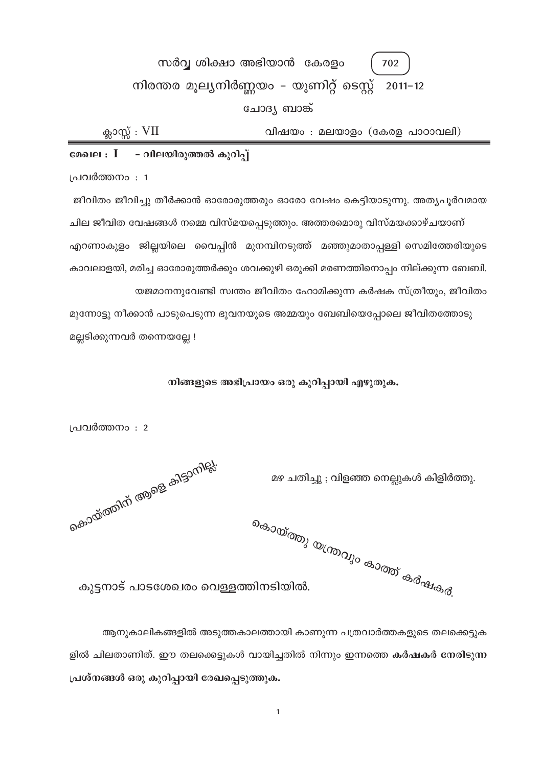# സർവ്വ ശിക്ഷാ അഭിയാൻ കേരളം 702 നിരന്തര മൂല്യനിർണ്ണയം - യൂണിറ്റ് ടെസ്റ്റ് 2011-12 ചോദ്യ ബാങ്ക്

ക്ലാസ്സ് :  $VII$ വിഷയം : മലയാളം (കേരള പാഠാവലി)

# മേഖല $\,:\, I \quad$  - വിലയിരുത്തൽ കുറിപ്

പ്രവർത്തനം : 1

ജീവിതം ജീവിച്ചു തീർക്കാൻ ഓരോരുത്തരും ഓരോ വേഷം കെട്ടിയാടുന്നു. അതൃപൂർവമായ ചില ജീവിത വേഷങ്ങൾ നമ്മെ വിസ്മയപ്പെടുത്തും. അത്തരമൊരു വിസ്മയക്കാഴ്ചയാണ് എറണാകുളം ജില്ലയിലെ വൈപ്പിൻ മുനമ്പിനടുത്ത് മഞ്ഞുമാതാപ്പള്ളി സെമിത്തേരിയുടെ കാവലാളയി, മരിച്ച ഓരോരുത്തർക്കും ശവക്കുഴി ഒരുക്കി മരണത്തിനൊപ്പം നില്ക്കുന്ന ബേബി. യജമാനനുവേണ്ടി സ്വന്തം ജീവിതം ഹോമിക്കുന്ന കർഷക സ്ത്രീയും, ജീവിതം

മുന്നോട്ടു നീക്കാൻ പാടുപെടുന്ന ഭുവനയുടെ അമ്മയും ബേബിയെപ്പോലെ ജീവിതത്തോടു മല്ലടിക്കുന്നവർ തന്നെയല്ലേ !

# നിങ്ങളുടെ അഭിപ്രായം ഒരു കുറിപ്പായി എഴുതുക.

പ്രവർത്തനം : 2

മഴ ചതിച്ചു ; വിളഞ്ഞ നെല്ലുകൾ കിളിർത്തു.

കൊയ്ത്തിന് <sup>ആളെ കിട്ടാനില്ല്.</sup>

<sub>കൊയ്ത്തു യന്ത്രവും കാത്ത് കർഷകർ.</sub> കുട്ടനാട് പാടശേഖരം വെള്ളത്തിനടിയിൽ.

ആനുകാലികങ്ങളിൽ അടുത്തകാലത്തായി കാണുന്ന പത്രവാർത്തകളുടെ തലക്കെട്ടുക ളിൽ ചിലതാണിത്. ഈ തലക്കെട്ടുകൾ വായിച്ചതിൽ നിന്നും ഇന്നത്തെ കർഷകർ നേരിടുന്ന പ്രശ്നങ്ങൾ ഒരു കുറിപ്പായി രേഖപ്പെടുത്തുക.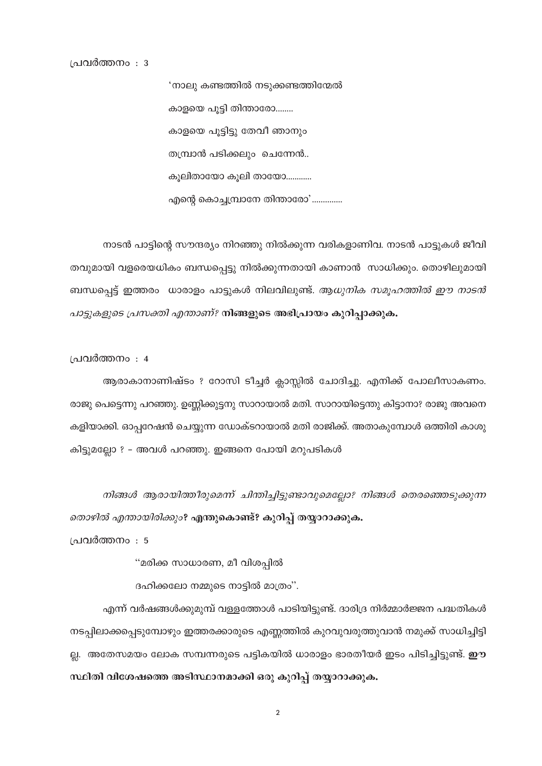പ്രവർത്തനം : 3

'നാലു കണ്ടത്തിൽ നടുക്കണ്ടത്തിന്മേൽ കാളയെ പൂട്ടി തിന്താരോ........ കാളയെ പൂട്ടിട്ടു തേവീ ഞാനും തമ്പ്രാൻ പടിക്കലും ചെന്നേൻ.. കൂലിതായോ കൂലി തായോ............ എന്റെ കൊച്ചമ്പ്രാനേ തിന്താരോ'..............

നാടൻ പാട്ടിന്റെ സൗന്ദര്യം നിറഞ്ഞു നിൽക്കുന്ന വരികളാണിവ. നാടൻ പാട്ടുകൾ ജീവി തവുമായി വളരെയധികം ബന്ധപ്പെട്ടു നിൽക്കുന്നതായി കാണാൻ സാധിക്കും. തൊഴിലുമായി ബന്ധപ്പെട്ട് ഇത്തരം ധാരാളം പാട്ടുകൾ നിലവിലുണ്ട്. *ആധുനിക സമൂഹത്തിൽ ഈ നാടൻ* പാട്ടുകളുടെ പ്രസക്തി എന്താണ്? നിങ്ങളുടെ അഭിപ്രായം കുറിപ്പാക്കുക.

പ്രവർത്തനം : 4

ആരാകാനാണിഷ്ടം ? റോസി ടീച്ചർ ക്ലാസ്സിൽ ചോദിച്ചു. എനിക്ക് പോലീസാകണം. രാജു പെട്ടെന്നു പറഞ്ഞു. ഉണ്ണിക്കുട്ടനു സാറായാൽ മതി. സാറായിട്ടെന്തു കിട്ടാനാ? രാജു അവനെ കളിയാക്കി. ഓപ്പറേഷൻ ചെയ്യുന്ന ഡോക്ടറായാൽ മതി രാജിക്ക്. അതാകുമ്പോൾ ഒത്തിരി കാശു കിട്ടുമല്ലോ ? - അവൾ പറഞ്ഞു. ഇങ്ങനെ പോയി മറുപടികൾ

നിങ്ങൾ ആരായിത്തീരുമെന്ന് ചിന്തിച്ചിട്ടുണ്ടാവുമെല്ലോ? നിങ്ങൾ തെരഞ്ഞെടുക്കുന്ന *തൊഴിൽ എന്തായിരിക്കും*? എന്തുകൊണ്ട്? കുറിപ്പ് തയ്യാറാക്കുക.

പ്രവർത്തനം : 5

"മരിക്ക സാധാരണ, മീ വിശപ്പിൽ

ദഹിക്കലോ നമ്മുടെ നാട്ടിൽ മാത്രം".

എന്ന് വർഷങ്ങൾക്കുമുമ്പ് വള്ളത്തോൾ പാടിയിട്ടുണ്ട്. ദാരിദ്ര നിർമ്മാർജ്ജന പദ്ധതികൾ നടപ്പിലാക്കപ്പെടുമ്പോഴും ഇത്തരക്കാരുടെ എണ്ണത്തിൽ കുറവുവരുത്തുവാൻ നമുക്ക് സാധിച്ചിട്ടി ല്ല. അതേസമയം ലോക സമ്പന്നരുടെ പട്ടികയിൽ ധാരാളം ഭാരതീയർ ഇടം പിടിച്ചിട്ടുണ്ട്. **ഈ** സ്ഥിതി വിശേഷത്തെ അടിസ്ഥാനമാക്കി ഒരു കുറിപ്പ് തയ്യാറാക്കുക.

 $\mathbf 2$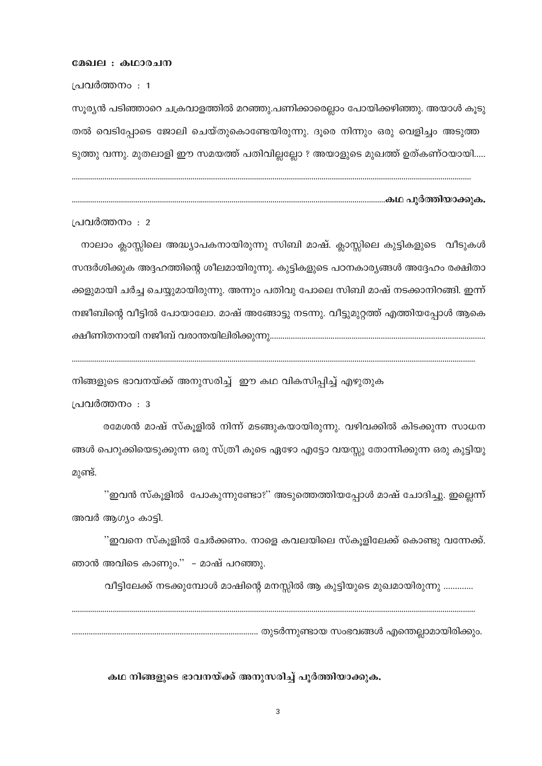#### മേഖല : കഥാരചന

പ്രവർത്തനം : 1

സൂര്യൻ പടിഞ്ഞാറെ ചക്രവാളത്തിൽ മറഞ്ഞു.പണിക്കാരെല്ലാം പോയിക്കഴിഞ്ഞു. അയാൾ കൂടു തൽ വെടിപ്പോടെ ജോലി ചെയ്തുകൊണ്ടേയിരുന്നു. ദൂരെ നിന്നും ഒരു വെളിച്ചം അടുത്ത ടുത്തു വന്നു. മുതലാളി ഈ സമയത്ത് പതിവില്ലല്ലോ ? അയാളുടെ മുഖത്ത് ഉത്കണ്ഠയായി.....

പ്രവർത്തനം : 2

നാലാം ക്ലാസ്സിലെ അദ്ധ്യാപകനായിരുന്നു സിബി മാഷ്. ക്ലാസ്സിലെ കുട്ടികളുടെ വീടുകൾ സന്ദർശിക്കുക അദ്ദഹത്തിന്റെ ശീലമായിരുന്നു. കുട്ടികളുടെ പഠനകാര്യങ്ങൾ അദ്ദേഹം രക്ഷിതാ ക്കളുമായി ചർച്ച ചെയ്യുമായിരുന്നു. അന്നും പതിവു പോലെ സിബി മാഷ് നടക്കാനിറങ്ങി. ഇന്ന് നജീബിന്റെ വീട്ടിൽ പോയാലോ. മാഷ് അങ്ങോട്ടു നടന്നു. വീട്ടുമുറ്റത്ത് എത്തിയപ്പോൾ ആകെ 

നിങ്ങളുടെ ഭാവനയ്ക്ക് അനുസരിച്ച് .ഈ കഥ വികസിപ്പിച്ച് എഴുതുക

പ്രവർത്തനം : 3

രമേശൻ മാഷ് സ്കൂളിൽ നിന്ന് മടങ്ങുകയായിരുന്നു. വഴിവക്കിൽ കിടക്കുന്ന സാധന ങ്ങൾ പെറുക്കിയെടുക്കുന്ന ഒരു സ്ത്രീ കൂടെ ഏഴോ എട്ടോ വയസ്സു തോന്നിക്കുന്ന ഒരു കുട്ടിയു മുണ്ട്.

''ഇവൻ സ്കൂളിൽ പോകുന്നുണ്ടോ?'' അടുത്തെത്തിയപ്പോൾ മാഷ് ചോദിച്ചു. ഇല്ലെന്ന് അവർ ആഗ്യം കാട്ടി.

''ഇവനെ സ്കൂളിൽ ചേർക്കണം. നാളെ കവലയിലെ സ്കൂളിലേക്ക് കൊണ്ടു വന്നേക്ക്. ഞാൻ അവിടെ കാണും.'' - മാഷ് പറഞ്ഞു.

വീട്ടിലേക്ക് നടക്കുമ്പോൾ മാഷിന്റെ മനസ്സിൽ ആ കുട്ടിയുടെ മുഖമായിരുന്നു .............

കഥ നിങ്ങളുടെ ഭാവനയ്ക്ക് അനുസരിച്ച് പൂർത്തിയാക്കുക.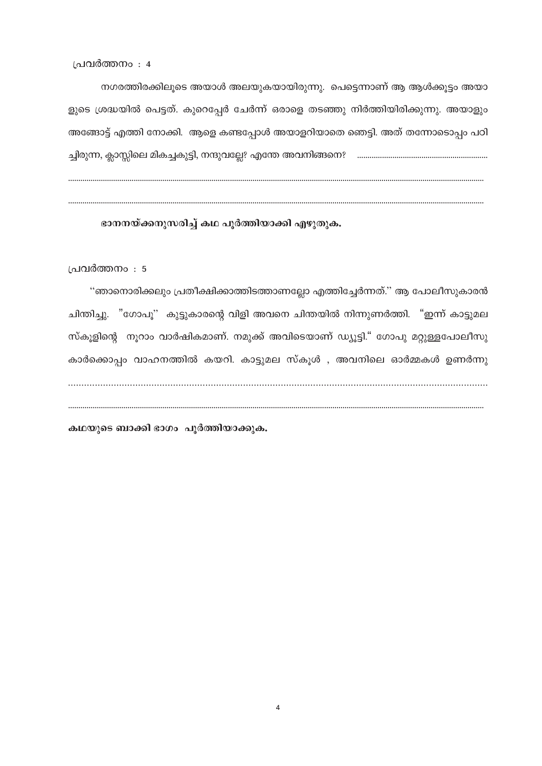പ്രവർത്തനം : 4

നഗരത്തിരക്കിലൂടെ അയാൾ അലയുകയായിരുന്നു. പെട്ടെന്നാണ് ആ ആൾക്കൂട്ടം അയാ ളുടെ ശ്രദ്ധയിൽ പെട്ടത്. കുറെപ്പേർ ചേർന്ന് ഒരാളെ തടഞ്ഞു നിർത്തിയിരിക്കുന്നു. അയാളും അങ്ങോട്ട് എത്തി നോക്കി. ആളെ കണ്ടപ്പോൾ അയാളറിയാതെ ഞെട്ടി. അത് തന്നോടൊപ്പം പഠി 

ഭാനനയ്ക്കനുസരിച്ച് കഥ പൂർത്തിയാക്കി എഴുതുക.

പ്രവർത്തനം : 5

''ഞാനൊരിക്കലും പ്രതീക്ഷിക്കാത്തിടത്താണല്ലോ എത്തിച്ചേർന്നത്.'' ആ പോലീസുകാരൻ ചിന്തിച്ചു. "ഗോപൂ" കുട്ടുകാരന്റെ വിളി അവനെ ചിന്തയിൽ നിന്നുണർത്തി. "ഇന്ന് കാട്ടുമല സ്കൂളിന്റെ നൂറാം വാർഷികമാണ്. നമുക്ക് അവിടെയാണ് ഡ്യൂട്ടി." ഗോപു മറ്റുള്ളപോലീസു കാർക്കൊപ്പം വാഹനത്തിൽ കയറി. കാട്ടുമല സ്കൂൾ , അവനിലെ ഓർമ്മകൾ ഉണർന്നു 

കഥയുടെ ബാക്കി ഭാഗം പൂർത്തിയാക്കുക.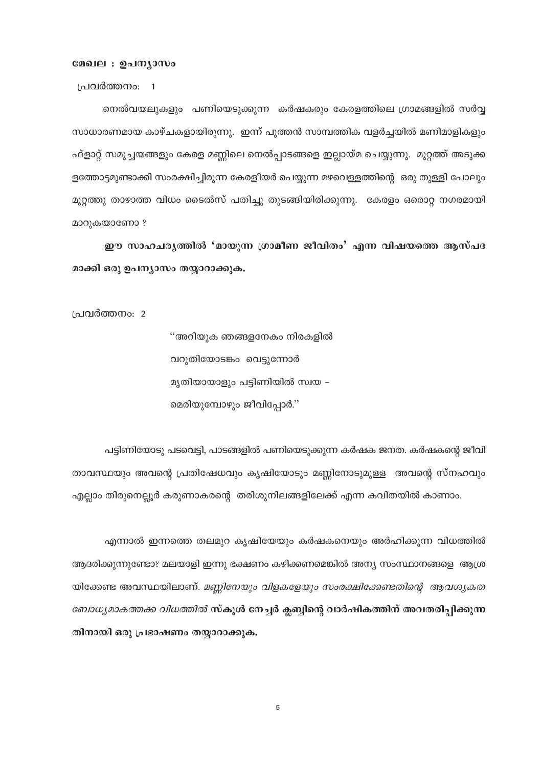## മേഖല : ഉപന്യാസം

പ്രവർത്തനം: 1

നെൽവയലുകളും പണിയെടുക്കുന്ന കർഷകരും കേരളത്തിലെ ഗ്രാമങ്ങളിൽ സർവ്വ സാധാരണമായ കാഴ്ചകളായിരുന്നു. ഇന്ന് പുത്തൻ സാമ്പത്തിക വളർച്ചയിൽ മണിമാളികളും ഫ്ളാറ്റ് സമുച്ചയങ്ങളും കേരള മണ്ണിലെ നെൽപ്പാടങ്ങളെ ഇല്ലായ്മ ചെയ്യുന്നു. മുറ്റത്ത് അടുക്ക ളത്തോട്ടമുണ്ടാക്കി സംരക്ഷിച്ചിരുന്ന കേരളീയർ പെയ്യുന്ന മഴവെള്ളത്തിന്റെ ഒരു തുള്ളി പോലും മുറ്റത്തു താഴാത്ത വിധം ടൈൽസ് പതിച്ചു തുടങ്ങിയിരിക്കുന്നു. കേരളം ഒരൊറ്റ നഗരമായി മാറുകയാണോ ?

ഈ സാഹചര്യത്തിൽ 'മായുന്ന ഗ്രാമീണ ജീവിതം' എന്ന വിഷയത്തെ ആസ്പദ മാക്കി ഒരു ഉപന്യാസം തയ്യാറാക്കുക.

പ്രവർത്തനം: 2

''അറിയുക ഞങ്ങളനേകം നിരകളിൽ വറുതിയോടങ്കം വെട്ടുന്നോർ മൃതിയായാളും പട്ടിണിയിൽ സ്വയ – മെരിയുമ്പോഴും ജീവിപ്പോർ."

പട്ടിണിയോടു പടവെട്ടി, പാടങ്ങളിൽ പണിയെടുക്കുന്ന കർഷക ജനത. കർഷകന്റെ ജീവി താവസ്ഥയും അവന്റെ പ്രതിഷേധവും കൃഷിയോടും മണ്ണിനോടുമുള്ള അവന്റെ സ്നഹവും എല്ലാം തിരുനെല്ലൂർ കരുണാകരന്റെ തരിശുനിലങ്ങളിലേക്ക് എന്ന കവിതയിൽ കാണാം.

എന്നാൽ ഇന്നത്തെ തലമുറ കൃഷിയേയും കർഷകനെയും അർഹിക്കുന്ന വിധത്തിൽ ആദരിക്കുന്നുണ്ടോ? മലയാളി ഇന്നു ഭക്ഷണം കഴിക്കണമെങ്കിൽ അന്യ സംസ്ഥാനങ്ങളെ ആശ്ര യിക്കേണ്ട അവസ്ഥയിലാണ്. മണ്ണിനേയും വിളകളേയും സംരക്ഷിക്കേണ്ടതിന്റെ ആവശ്യകത *ബോധ്യമാകത്തക്ക വിധത്തിൽ* സ്കൂൾ നേച്ചർ ക്ലബ്ബിന്റെ വാർഷികത്തിന് അവതരിപ്പിക്കുന്ന തിനായി ഒരു പ്രഭാഷണം തയ്യാറാക്കുക.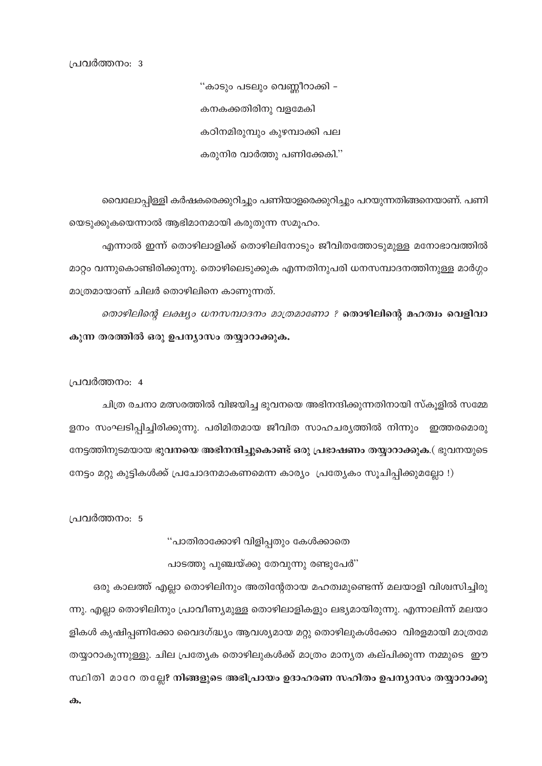ഒരു കാലത്ത് എല്ലാ തൊഴിലിനും അതിന്റേതായ മഹത്വമുണ്ടെന്ന് മലയാളി വിശ്വസിച്ചിരു ന്നു. എല്ലാ തൊഴിലിനും പ്രാവീണ്യമുള്ള തൊഴിലാളികളും ലഭ്യമായിരുന്നു. എന്നാലിന്ന് മലയാ ളികൾ കൃഷിപ്പണിക്കോ വൈദഗ്ദ്ധ്യം ആവശ്യമായ മറ്റു തൊഴിലുകൾക്കോ വിരളമായി മാത്രമേ തയ്യാറാകുന്നുള്ളു. ചില പ്രത്യേക തൊഴിലുകൾക്ക് മാത്രം മാന്യത കല്പിക്കുന്ന നമ്മുടെ ഈ സ്ഥിതി മാറേ തല്ലേ? നിങ്ങളുടെ അഭിപ്രായം ഉദാഹരണ സഹിതം ഉപന്യാസം തയ്യാറാക്കു

പാടത്തു പുഞ്ചയ്ക്കു തേവുന്നു രണ്ടുപേർ''

"പാതിരാക്കോഴി വിളിപ്പതും കേൾക്കാതെ

പ്രവർത്തനം: 5

പ്രവർത്തനം: 4

ചിത്ര രചനാ മത്സരത്തിൽ വിജയിച്ച ഭുവനയെ അഭിനന്ദിക്കുന്നതിനായി സ്കുളിൽ സമ്മേ ളനം സംഘടിപ്പിച്ചിരിക്കുന്നു. പരിമിതമായ ജീവിത സാഹചര്യത്തിൽ നിന്നും ഇത്തരമൊരു നേട്ടത്തിനുടമയായ ഭുവനയെ അഭിനന്ദിച്ചുകൊണ്ട് ഒരു പ്രഭാഷണം തയ്യാറാക്കുക.( ഭുവനയുടെ നേട്ടം മറ്റു കുട്ടികൾക്ക് പ്രചോദനമാകണമെന്ന കാര്യം പ്രത്യേകം സൂചിപ്പിക്കുമല്ലോ !)

കുന്ന തരത്തിൽ ഒരു ഉപന്യാസം തയ്യാറാക്കുക.

മാറ്റം വന്നുകൊണ്ടിരിക്കുന്നു. തൊഴിലെടുക്കുക എന്നതിനുപരി ധനസമ്പാദനത്തിനുള്ള മാർഗ്ഗം മാത്രമായാണ് ചിലർ തൊഴിലിനെ കാണുന്നത്. *തൊഴിലിന്റെ ലക്ഷ്യം ധനസമ്പാദനം മാത്രമാണോ ?* തൊഴിലിന്റെ മഹത്വം വെളിവാ

വൈലോപ്പിള്ളി കർഷകരെക്കുറിച്ചും പണിയാളരെക്കുറിച്ചും പറയുന്നതിങ്ങനെയാണ്. പണി യെടുക്കുകയെന്നാൽ ആഭിമാനമായി കരുതുന്ന സമൂഹം.

എന്നാൽ ഇന്ന് തൊഴിലാളിക്ക് തൊഴിലിനോടും ജീവിതത്തോടുമുള്ള മനോഭാവത്തിൽ

"കാടും പടലും വെണ്ണീറാക്കി – കനകക്കതിരിനു വളമേകി കഠിനമിരുമ്പും കുഴമ്പാക്കി പല കരുനിര വാർത്തു പണിക്കേകി."

പ്രവർത്തനം: 3

ക.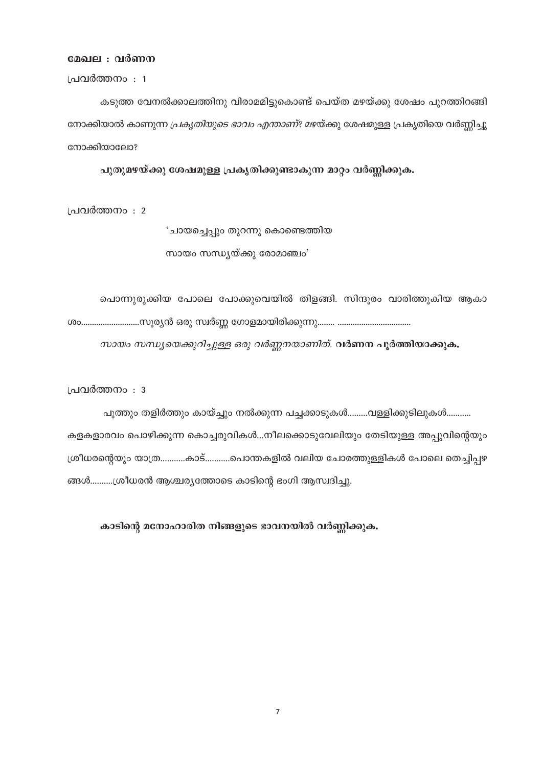#### മേഖല : വർണന

പ്രവർത്തനം : 1

കടുത്ത വേനൽക്കാലത്തിനു വിരാമമിട്ടുകൊണ്ട് പെയ്ത മഴയ്ക്കു ശേഷം പുറത്തിറങ്ങി നോക്കിയാൽ കാണുന്ന *പ്രകൃതിയുടെ ഭാവം എന്താണ്*? മഴയ്ക്കു ശേഷമുളള പ്രകൃതിയെ വർണ്ണിച്ചു നോക്കിയാലോ?

പുതുമഴയ്ക്കു ശേഷമുള്ള പ്രകൃതിക്കുണ്ടാകുന്ന മാറ്റം വർണ്ണിക്കുക.

പ്രവർത്തനം : 2

'ചായച്ചെപ്പും തുറന്നു കൊണ്ടെത്തിയ സായം സന്ധ്യയ്ക്കു രോമാഞ്ചം'

പൊന്നുരുക്കിയ പോലെ പോക്കുവെയിൽ തിളങ്ങി. സിന്ദൂരം വാരിത്തൂകിയ ആകാ

സായം സന്ധ്യയെക്കുറിച്ചുള്ള ഒരു വർണ്ണനയാണിത്. വർണന പൂർത്തിയാക്കുക.

പ്രവർത്തനം : 3

പൂത്തും തളിർത്തും കായ്ച്ചും നൽക്കുന്ന പച്ചക്കാടുകൾ..........വള്ളിക്കുടിലുകൾ........... കളകളാരവം പൊഴിക്കുന്ന കൊച്ചരുവികൾ...നീലക്കൊടുവേലിയും തേടിയുള്ള അപ്പുവിന്റെയും ശ്രീധരന്റെയും യാത്ര............കാട്............പൊന്തകളിൽ വലിയ ചോരത്തുള്ളികൾ പോലെ തെച്ചിപ്പഴ ങ്ങൾ..........ശ്രീധരൻ ആശ്ചര്യത്തോടെ കാടിന്റെ ഭംഗി ആസ്വദിച്ചു.

കാടിന്റെ മനോഹാരിത നിങ്ങളുടെ ഭാവനയിൽ വർണ്ണിക്കുക.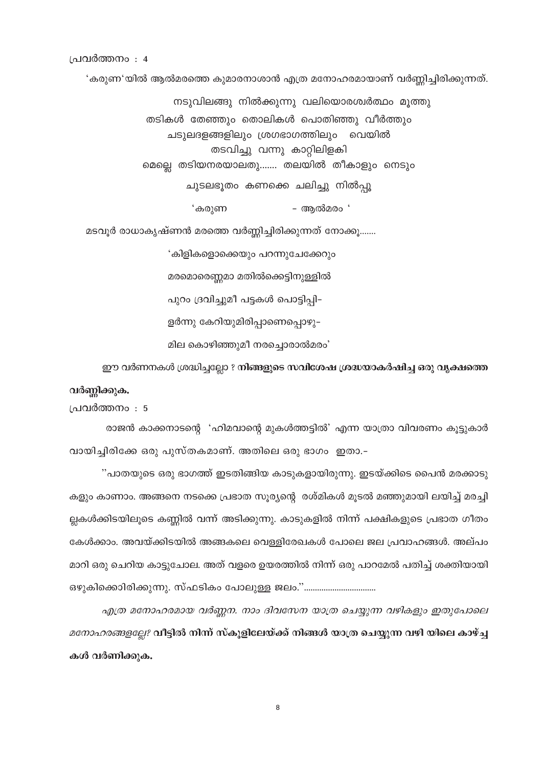പ്രവർത്തനം : 4

'കരുണ'യിൽ ആൽമരത്തെ കുമാരനാശാൻ എത്ര മനോഹരമായാണ് വർണ്ണിച്ചിരിക്കുന്നത്.

നടുവിലങ്ങു നിൽക്കുന്നു വലിയൊരശ്വർത്ഥം മൂത്തു തടികൾ തേഞ്ഞും തൊലികൾ പൊതിഞ്ഞു വീർത്തും ചടുലദളങ്ങളിലും ശ്രഗഭാഗത്തിലും വെയിൽ തടവിച്ചു വന്നു കാറ്റിലിളകി മെല്ലെ തടിയനരയാലതു……. തലയിൽ തീകാളും നെടും ചുടലഭൂതം കണക്കെ ചലിച്ചു നിൽപ്പൂ 'കരുണ - ആൽമരം '

മടവൂർ രാധാകൃഷ്ണൻ മരത്തെ വർണ്ണിച്ചിരിക്കുന്നത് നോക്കൂ…….

'കിളികളൊക്കെയും പറന്നുചേക്കേറും മരമൊരെണ്ണമാ മതിൽക്കെട്ടിനുള്ളിൽ പുറം ദ്രവിച്ചുമീ പട്ടകൾ പൊട്ടിപ്പി– ളർന്നു കേറിയുമിരിപ്പാണെപ്പൊഴു– മില കൊഴിഞ്ഞുമീ നരച്ചൊരാൽമരം'

ഈ വർണനകൾ ശ്രദ്ധിച്ചല്ലോ ? നിങ്ങളുടെ സവിശേഷ ശ്രദ്ധയാകർഷിച്ച ഒരു വൃക്ഷത്തെ

വർണ്ണിക്കുക.

പ്രവർത്തനം : 5

രാജൻ കാക്കനാടന്റെ 'ഹിമവാന്റെ മുകൾത്തട്ടിൽ' എന്ന യാത്രാ വിവരണം കൂട്ടുകാർ വായിച്ചിരിക്കേ ഒരു പുസ്തകമാണ്. അതിലെ ഒരു ഭാഗം ഇതാ.-

"പാതയുടെ ഒരു ഭാഗത്ത് ഇടതിങ്ങിയ കാടുകളായിരുന്നു. ഇടയ്ക്കിടെ പൈൻ മരക്കാടു കളും കാണാം. അങ്ങനെ നടക്കെ പ്രഭാത സൂര്യന്റെ രശ്മികൾ മൂടൽ മഞ്ഞുമായി ലയിച്ച് മരച്ചി ല്ലകൾക്കിടയിലൂടെ കണ്ണിൽ വന്ന് അടിക്കുന്നു. കാടുകളിൽ നിന്ന് പക്ഷികളുടെ പ്രഭാത ഗീതം കേൾക്കാം. അവയ്ക്കിടയിൽ അങ്ങകലെ വെള്ളിരേഖകൾ പോലെ ജല പ്രവാഹങ്ങൾ. അല്പം മാറി ഒരു ചെറിയ കാട്ടുചോല. അത് വളരെ ഉയരത്തിൽ നിന്ന് ഒരു പാറമേൽ പതിച്ച് ശക്തിയായി ഒഴുകിക്കൊിരിക്കുന്നു. സ്ഫടികം പോലുള്ള ജലം."……………………………

എത്ര മനോഹരമായ വർണ്ണന. നാം ദിവസേന യാത്ര ചെയ്യുന്ന വഴികളും ഇതുപോലെ *മനോഹരങ്ങളല്ലേ*? വീട്ടിൽ നിന്ന് സ്കൂളിലേയ്ക്ക് നിങ്ങൾ യാത്ര ചെയ്യുന്ന വഴി യിലെ കാഴ്ച്ച കൾ വർണിക്കുക.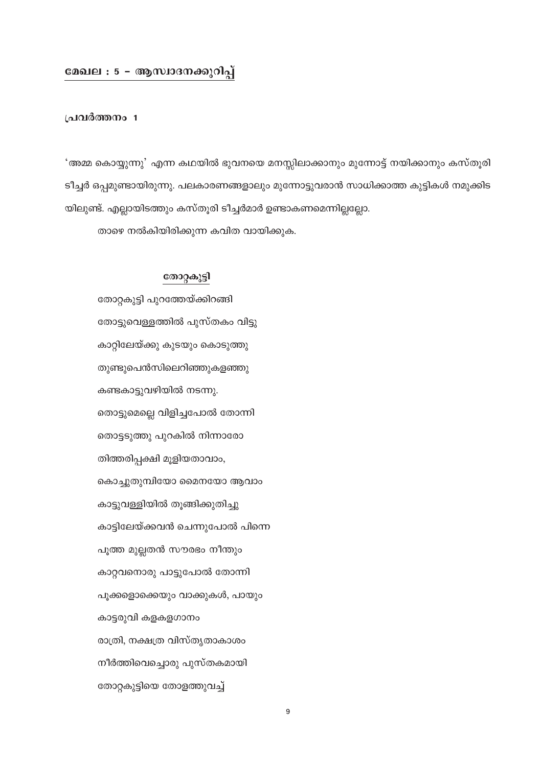# മേഖല : 5 - ആസ്വാദനക്കുറിപ്പ്

# പ്രവർത്തനം 1

'അമ്മ കൊയ്യുന്നു' എന്ന കഥയിൽ ഭുവനയെ മനസ്സിലാക്കാനും മുന്നോട്ട് നയിക്കാനും കസ്തൂരി ടീച്ചർ ഒപ്പമുണ്ടായിരുന്നു. പലകാരണങ്ങളാലും മുന്നോട്ടുവരാൻ സാധിക്കാത്ത കുട്ടികൾ നമുക്കിട യിലുണ്ട്. എല്ലായിടത്തും കസ്തൂരി ടീച്ചർമാർ ഉണ്ടാകണമെന്നില്ലല്ലോ.

താഴെ നൽകിയിരിക്കുന്ന കവിത വായിക്കുക.

# തോറ്റകുട്ടി

തോറ്റകുട്ടി പുറത്തേയ്ക്കിറങ്ങി തോട്ടുവെള്ളത്തിൽ പുസ്തകം വിട്ടു കാറ്റിലേയ്ക്കു കുടയും കൊടുത്തു തുണ്ടുപെൻസിലെറിഞ്ഞുകളഞ്ഞു കണ്ടകാട്ടുവഴിയിൽ നടന്നു. തൊട്ടുമെല്ലെ വിളിച്ചപോൽ തോന്നി തൊട്ടടുത്തു പുറകിൽ നിന്നാരോ തിത്തരിപ്പക്ഷി മുളിയതാവാം, കൊച്ചുതുമ്പിയോ മൈനയോ ആവാം കാട്ടുവള്ളിയിൽ തൂങ്ങിക്കുതിച്ചു കാട്ടിലേയ്ക്കവൻ ചെന്നുപോൽ പിന്നെ പൂത്ത മുല്ലതൻ സൗരഭം നീന്തും കാറ്റവനൊരു പാട്ടുപോൽ തോന്നി പൂക്കളൊക്കെയും വാക്കുകൾ, പായും കാട്ടരുവി കളകളഗാനം രാത്രി, നക്ഷത്ര വിസ്തൃതാകാശം നീർത്തിവെച്ചൊരു പുസ്തകമായി തോറ്റകുട്ടിയെ തോളത്തുവച്ച്

 $\boldsymbol{9}$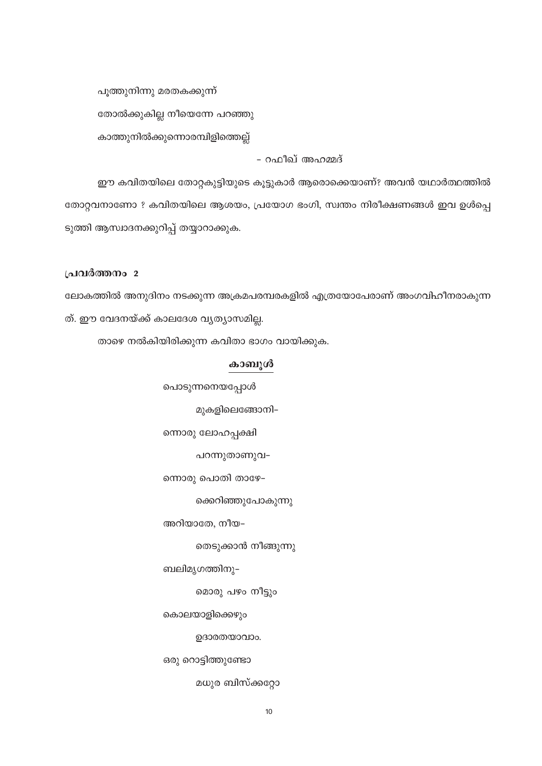പൂത്തുനിന്നു മരതകക്കുന്ന് തോൽക്കുകില്ല നീയെന്നേ പറഞ്ഞു കാത്തുനിൽക്കുന്നൊരമ്പിളിത്തെല്ല്

- റഫീഖ് അഹമ്മദ്

ഈ കവിതയിലെ തോറ്റകുട്ടിയുടെ കൂട്ടുകാർ ആരൊക്കെയാണ്? അവൻ യഥാർത്ഥത്തിൽ തോറ്റവനാണോ ? കവിതയിലെ ആശയം, പ്രയോഗ ഭംഗി, സ്വന്തം നിരീക്ഷണങ്ങൾ ഇവ ഉൾപ്പെ ടുത്തി ആസ്ഥാദനക്കുറിപ്പ് തയ്യാറാക്കുക.

# പ്രവർത്തനം 2

ലോകത്തിൽ അനുദിനം നടക്കുന്ന അക്രമപരമ്പരകളിൽ എത്രയോപേരാണ് അംഗവിഹീനരാകുന്ന ത്. ഈ വേദനയ്ക്ക് കാലദേശ വൃത്യാസമില്ല.

താഴെ നൽകിയിരിക്കുന്ന കവിതാ ഭാഗം വായിക്കുക.

# കാബൂൾ

പൊടുന്നനെയപ്പോൾ

മുകളിലെങ്ങോനി-

ന്നൊരു ലോഹപ്പക്ഷി

പറന്നുതാണുവ-

ന്നൊരു പൊതി താഴേ–

ക്കെറിഞ്ഞുപോകുന്നു

അറിയാതേ, നീയ–

തെടുക്കാൻ നീങ്ങുന്നു

ബലിമൃഗത്തിനു–

മൊരു പഴം നീട്ടും

കൊലയാളിക്കെഴും

ഉദാരതയാവാം.

ഒരു റൊട്ടിത്തുണ്ടോ

മധുര ബിസ്ക്കറ്റോ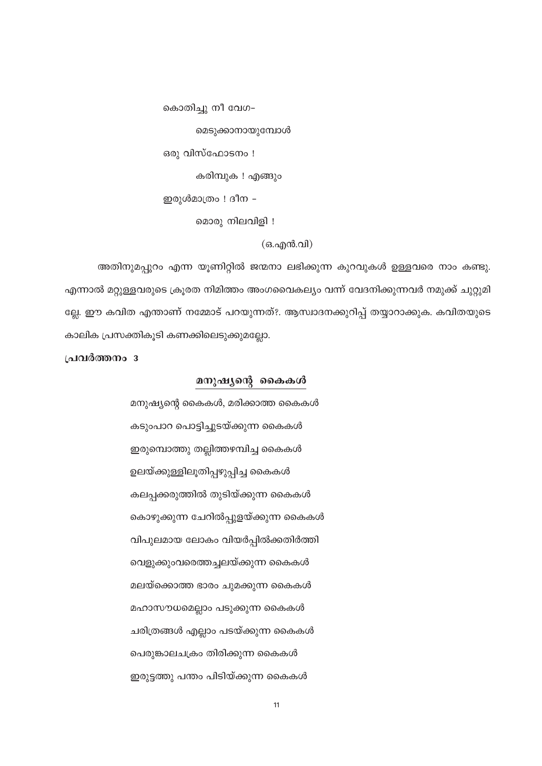കൊതിച്ചു നീ വേഗ–

മെടുക്കാനായുമ്പോൾ

ഒരു വിസ്ഫോടനം !

കരിമ്പുക ! എങ്ങും

ഇരുൾമാത്രം ! ദീന -

മൊരു നിലവിളി !

# (ഒ.എൻ.വി)

അതിനുമപ്പുറം എന്ന യൂണിറ്റിൽ ജന്മനാ ലഭിക്കുന്ന കുറവുകൾ ഉള്ളവരെ നാം കണ്ടു. എന്നാൽ മറ്റുള്ളവരുടെ ക്രൂരത നിമിത്തം അംഗവൈകല്യം വന്ന് വേദനിക്കുന്നവർ നമുക്ക് ചുറ്റുമി ല്ലേ. ഈ കവിത എന്താണ് നമ്മോട് പറയുന്നത്?. ആസ്വാദനക്കുറിപ്പ് തയ്യാറാക്കുക. കവിതയുടെ കാലിക പ്രസക്തികൂടി കണക്കിലെടുക്കുമല്ലോ.

പ്രവർത്തനം 3

## മനുഷ്യന്റെ കൈകൾ

മനുഷ്യന്റെ കൈകൾ, മരിക്കാത്ത കൈകൾ കടുംപാറ പൊട്ടിച്ചുടയ്ക്കുന്ന കൈകൾ ഇരുമ്പൊത്തു തല്ലിത്തഴമ്പിച്ച കൈകൾ ഉലയ്ക്കുള്ളിലൂതിപ്പഴുപ്പിച്ച കൈകൾ കലപ്പക്കരുത്തിൽ തുടിയ്ക്കുന്ന കൈകൾ കൊഴുക്കുന്ന ചേറിൽപ്പുളയ്ക്കുന്ന കൈകൾ വിപുലമായ ലോകം വിയർപ്പിൽക്കതിർത്തി വെളുക്കുംവരെത്തച്ചലയ്ക്കുന്ന കൈകൾ മലയ്ക്കൊത്ത ഭാരം ചുമക്കുന്ന കൈകൾ മഹാസൗധമെല്ലാം പടുക്കുന്ന കൈകൾ ചരിത്രങ്ങൾ എല്ലാം പടയ്ക്കുന്ന കൈകൾ പെരുങ്കാലചക്രം തിരിക്കുന്ന കൈകൾ ഇരുട്ടത്തു പന്തം പിടിയ്ക്കുന്ന കൈകൾ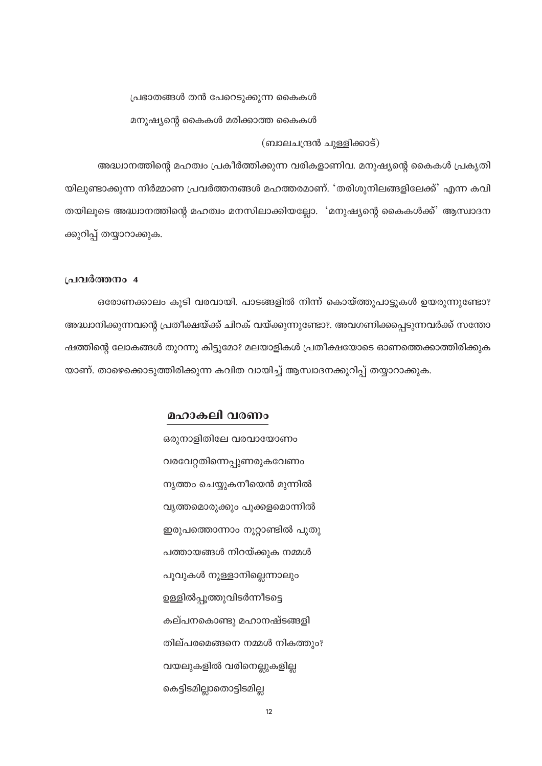#### പ്രഭാതങ്ങൾ തൻ പേറെടുക്കുന്ന കൈകൾ

മനുഷ്യന്റെ കൈകൾ മരിക്കാത്ത കൈകൾ

(ബാലചന്ദ്രൻ ചുള്ളിക്കാട്)

അദ്ധ്വാനത്തിന്റെ മഹത്വം പ്രകീർത്തിക്കുന്ന വരികളാണിവ. മനുഷ്യന്റെ കൈകൾ പ്രകൃതി യിലുണ്ടാക്കുന്ന നിർമ്മാണ പ്രവർത്തനങ്ങൾ മഹത്തരമാണ്. 'തരിശുനിലങ്ങളിലേക്ക്' എന്ന കവി തയിലൂടെ അദ്ധ്വാനത്തിന്റെ മഹത്വം മനസിലാക്കിയല്ലോ. 'മനുഷ്യന്റെ കൈകൾക്ക്' ആസ്വാദന ക്കുറിപ്പ് തയ്യാറാക്കുക.

#### പ്രവർത്തനം 4

ഒരോണക്കാലം കൂടി വരവായി. പാടങ്ങളിൽ നിന്ന് കൊയ്ത്തുപാട്ടുകൾ ഉയരുന്നുണ്ടോ? അദ്ധ്വാനിക്കുന്നവന്റെ പ്രതീക്ഷയ്ക്ക് ചിറക് വയ്ക്കുന്നുണ്ടോ?. അവഗണിക്കപ്പെടുന്നവർക്ക് സന്തോ ഷത്തിന്റെ ലോകങ്ങൾ തുറന്നു കിട്ടുമോ? മലയാളികൾ പ്രതീക്ഷയോടെ ഓണത്തെക്കാത്തിരിക്കുക യാണ്. താഴെക്കൊടുത്തിരിക്കുന്ന കവിത വായിച്ച് ആസ്വാദനക്കുറിപ്പ് തയ്യാറാക്കുക.

# മഹാകലി വരണം

ഒരുനാളിതിലേ വരവായോണം വരവേറ്റതിന്നെപ്പുണരുകവേണം നൃത്തം ചെയ്യുകനീയെൻ മുന്നിൽ വൃത്തമൊരുക്കും പൂക്കളമൊന്നിൽ ഇരുപത്തൊന്നാം നൂറ്റാണ്ടിൽ പുതു പത്തായങ്ങൾ നിറയ്ക്കുക നമ്മൾ പൂവുകൾ നുള്ളാനില്ലെന്നാലും ഉള്ളിൽപ്പൂത്തുവിടർന്നീടട്ടെ കല്പനകൊണ്ടു മഹാനഷ്ടങ്ങളി തില്പരമെങ്ങനെ നമ്മൾ നികത്തും? വയലുകളിൽ വരിനെല്ലുകളില്ല കെട്ടിടമില്ലാതൊട്ടിടമില്ല